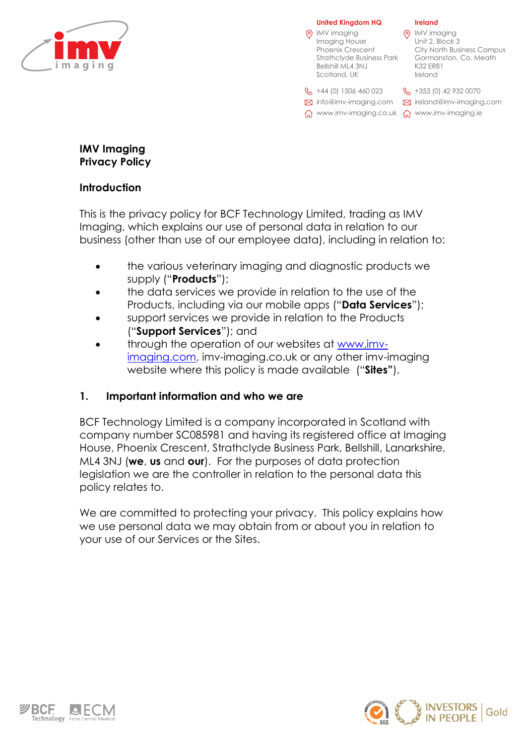

**United Kingdom HQ** IMV imaging

|   | <b>Ireland</b> |  |
|---|----------------|--|
| ╮ |                |  |

| IMV imaging<br>Imaging House<br><b>Phoenix Crescent</b><br><b>Strathclyde Business Park</b><br>Bellshill ML4 3NJ<br>Scotland, UK | IMV imaging<br>Unit 2, Block 3<br><b>City North Business Campus</b><br>Gormanston, Co. Meath<br>K32 ER81<br>Ireland |
|----------------------------------------------------------------------------------------------------------------------------------|---------------------------------------------------------------------------------------------------------------------|
| $\frac{1}{2}$ +44 (0) 1506 460 023<br>$\boxtimes$ info@imv-imaging.com<br>www.imv-imaging.co.uk                                  | $\%$ +353 (0) 42 932 0070<br>⊠ ireland@imv-imaging.com<br>mv-imaging.ie                                             |

# **IMV Imaging Privacy Policy**

# **Introduction**

This is the privacy policy for BCF Technology Limited, trading as IMV Imaging, which explains our use of personal data in relation to our business (other than use of our employee data), including in relation to:

- the various veterinary imaging and diagnostic products we supply ("**Products**");
- the data services we provide in relation to the use of the Products, including via our mobile apps ("**Data Services**");
- support services we provide in relation to the Products ("**Support Services**"); and
- through the operation of our websites at [www.imv](http://www.imv-imaging.com/)[imaging.com,](http://www.imv-imaging.com/) imv-imaging.co.uk or any other imv-imaging website where this policy is made available ("**Sites"**).

# **1. Important information and who we are**

BCF Technology Limited is a company incorporated in Scotland with company number SC085981 and having its registered office at Imaging House, Phoenix Crescent, Strathclyde Business Park, Bellshill, Lanarkshire, ML4 3NJ (**we**, **us** and **our**). For the purposes of data protection legislation we are the controller in relation to the personal data this policy relates to.

We are committed to protecting your privacy. This policy explains how we use personal data we may obtain from or about you in relation to your use of our Services or the Sites.



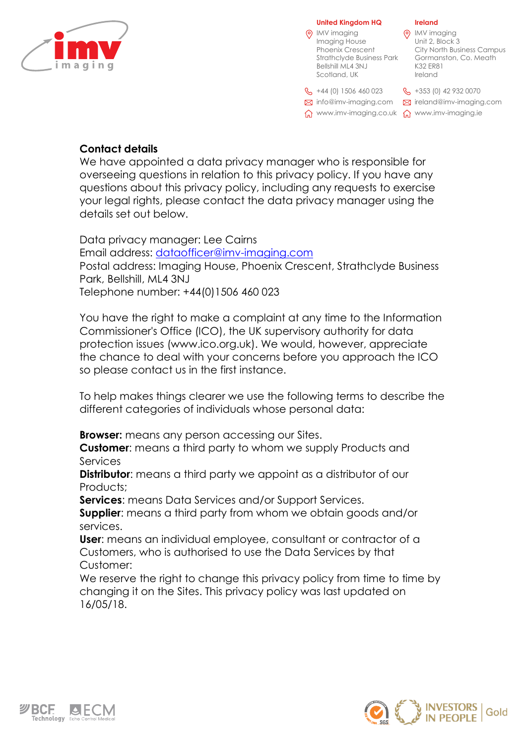

**Ireland (o)** IMV imaging Unit 2, Block 3 City North Business Campus Gormanston, Co. Meath K32 ER81 Ireland  $\%$  +353 (0) 42 932 0070 ireland@imv-imaging.com info@imv-imaging.com www.imv-imaging.ie www.imv-imaging.co.uk **United Kingdom HQ** 0 IMV imaging Imaging House Phoenix Crescent Strathclyde Business Park Bellshill ML4 3NJ Scotland, UK  $\frac{6}{5}$  +44 (0) 1506 460 023

# **Contact details**

We have appointed a data privacy manager who is responsible for overseeing questions in relation to this privacy policy. If you have any questions about this privacy policy, including any requests to exercise your legal rights, please contact the data privacy manager using the details set out below.

Data privacy manager: Lee Cairns Email address: [dataofficer@imv-imaging.com](mailto:data.officer@imv-imaging.com) Postal address: Imaging House, Phoenix Crescent, Strathclyde Business Park, Bellshill, ML4 3NJ Telephone number: +44(0)1506 460 023

You have the right to make a complaint at any time to the Information Commissioner's Office (ICO), the UK supervisory authority for data protection issues (www.ico.org.uk). We would, however, appreciate the chance to deal with your concerns before you approach the ICO so please contact us in the first instance.

To help makes things clearer we use the following terms to describe the different categories of individuals whose personal data:

**Browser:** means any person accessing our Sites.

**Customer**: means a third party to whom we supply Products and Services

**Distributor:** means a third party we appoint as a distributor of our Products:

**Services**: means Data Services and/or Support Services.

**Supplier**: means a third party from whom we obtain goods and/or services.

**User**: means an individual employee, consultant or contractor of a Customers, who is authorised to use the Data Services by that Customer:

We reserve the right to change this privacy policy from time to time by changing it on the Sites. This privacy policy was last updated on 16/05/18.



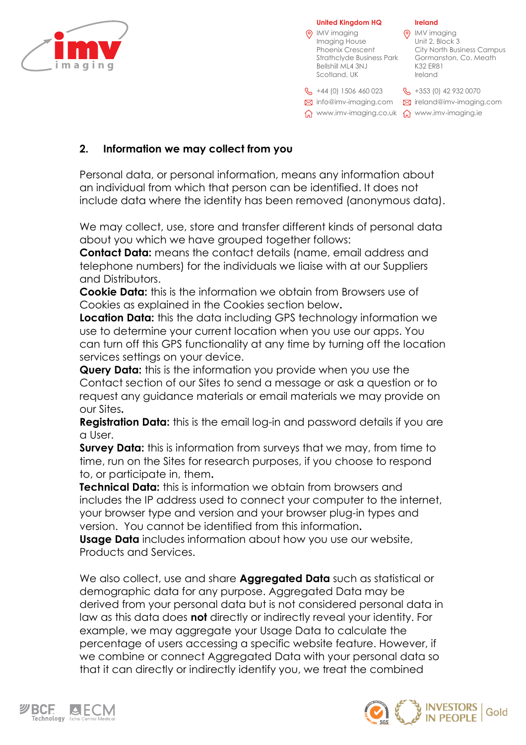

### **Ireland (o)** IMV imaging Unit 2, Block 3 City North Business Campus Gormanston, Co. Meath K32 ER81 Ireland **& +353 (0) 42 932 0070** ireland@imv-imaging.com info@imv-imaging.com www.imv-imaging.ie www.imv-imaging.co.uk **United Kingdom HQ (6)** IMV imaging Imaging House Phoenix Crescent Strathclyde Business Park Bellshill ML4 3NJ Scotland, UK  $\frac{6}{5}$  +44 (0) 1506 460 023

# **2. Information we may collect from you**

Personal data, or personal information, means any information about an individual from which that person can be identified. It does not include data where the identity has been removed (anonymous data).

We may collect, use, store and transfer different kinds of personal data about you which we have grouped together follows:

**Contact Data:** means the contact details (name, email address and telephone numbers) for the individuals we liaise with at our Suppliers and Distributors.

**Cookie Data:** this is the information we obtain from Browsers use of Cookies as explained in the Cookies section below**.**

**Location Data:** this the data including GPS technology information we use to determine your current location when you use our apps. You can turn off this GPS functionality at any time by turning off the location services settings on your device.

**Query Data:** this is the information you provide when you use the Contact section of our Sites to send a message or ask a question or to request any guidance materials or email materials we may provide on our Sites**.**

**Registration Data:** this is the email log-in and password details if you are a User.

**Survey Data:** this is information from surveys that we may, from time to time, run on the Sites for research purposes, if you choose to respond to, or participate in, them**.** 

**Technical Data:** this is information we obtain from browsers and includes the IP address used to connect your computer to the internet, your browser type and version and your browser plug-in types and version. You cannot be identified from this information**.**

**Usage Data** includes information about how you use our website, Products and Services.

We also collect, use and share **Aggregated Data** such as statistical or demographic data for any purpose. Aggregated Data may be derived from your personal data but is not considered personal data in law as this data does **not** directly or indirectly reveal your identity. For example, we may aggregate your Usage Data to calculate the percentage of users accessing a specific website feature. However, if we combine or connect Aggregated Data with your personal data so that it can directly or indirectly identify you, we treat the combined



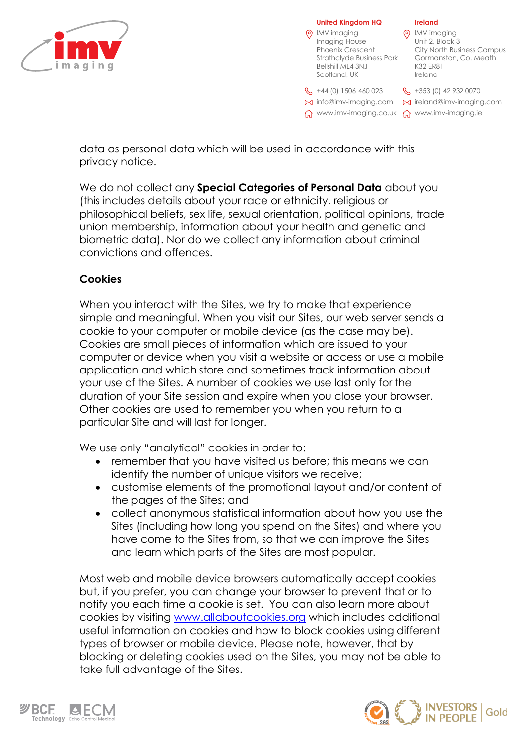

### **Ireland Q** IMV imaging Unit 2, Block 3 City North Business Campus Gormanston, Co. Meath K32 ER81 Ireland  $\%$  +353 (0) 42 932 0070 ireland@imv-imaging.com info@imv-imaging.com www.imv-imaging.ie www.imv-imaging.co.uk **United Kingdom HQ** IMV imaging Imaging House Phoenix Crescent Strathclyde Business Park Bellshill ML4 3NJ Scotland, UK  $\frac{6}{5}$  +44 (0) 1506 460 023

data as personal data which will be used in accordance with this privacy notice.

We do not collect any **Special Categories of Personal Data** about you (this includes details about your race or ethnicity, religious or philosophical beliefs, sex life, sexual orientation, political opinions, trade union membership, information about your health and genetic and biometric data). Nor do we collect any information about criminal convictions and offences.

# **Cookies**

When you interact with the Sites, we try to make that experience simple and meaningful. When you visit our Sites, our web server sends a cookie to your computer or mobile device (as the case may be). Cookies are small pieces of information which are issued to your computer or device when you visit a website or access or use a mobile application and which store and sometimes track information about your use of the Sites. A number of cookies we use last only for the duration of your Site session and expire when you close your browser. Other cookies are used to remember you when you return to a particular Site and will last for longer.

We use only "analytical" cookies in order to:

- remember that you have visited us before; this means we can identify the number of unique visitors we receive;
- customise elements of the promotional layout and/or content of the pages of the Sites; and
- collect anonymous statistical information about how you use the Sites (including how long you spend on the Sites) and where you have come to the Sites from, so that we can improve the Sites and learn which parts of the Sites are most popular.

Most web and mobile device browsers automatically accept cookies but, if you prefer, you can change your browser to prevent that or to notify you each time a cookie is set. You can also learn more about cookies by visiting [www.allaboutcookies.org](http://www.allaboutcookies.org/) which includes additional useful information on cookies and how to block cookies using different types of browser or mobile device. Please note, however, that by blocking or deleting cookies used on the Sites, you may not be able to take full advantage of the Sites.



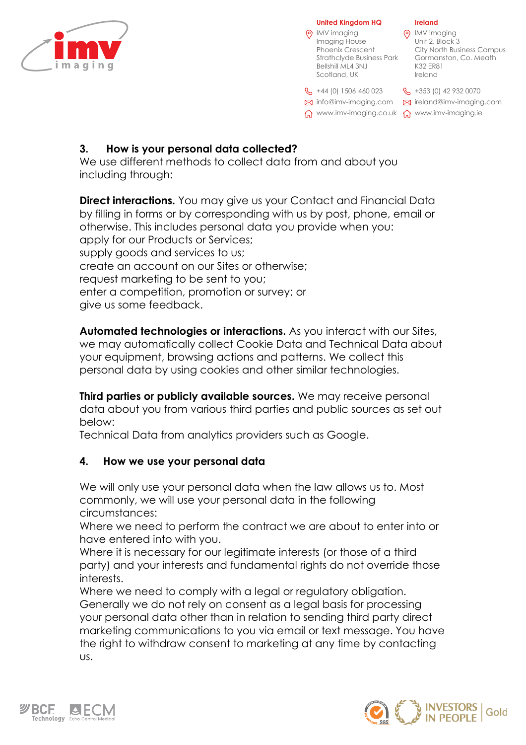

### **Ireland (o)** IMV imaging Unit 2, Block 3 City North Business Campus Gormanston, Co. Meath K32 ER81 Ireland  $\%$  +353 (0) 42 932 0070 ireland@imv-imaging.com info@imv-imaging.com www.imv-imaging.ie www.imv-imaging.co.uk **United Kingdom HQ** IMV imaging Imaging House Phoenix Crescent Strathclyde Business Park Bellshill ML4 3NJ Scotland, UK  $\frac{6}{5}$  +44 (0) 1506 460 023

# **3. How is your personal data collected?**

We use different methods to collect data from and about you including through:

**Direct interactions.** You may give us your Contact and Financial Data by filling in forms or by corresponding with us by post, phone, email or otherwise. This includes personal data you provide when you: apply for our Products or Services; supply goods and services to us; create an account on our Sites or otherwise; request marketing to be sent to you; enter a competition, promotion or survey; or give us some feedback.

**Automated technologies or interactions.** As you interact with our Sites, we may automatically collect Cookie Data and Technical Data about your equipment, browsing actions and patterns. We collect this personal data by using cookies and other similar technologies.

**Third parties or publicly available sources.** We may receive personal data about you from various third parties and public sources as set out below:

Technical Data from analytics providers such as Google.

# **4. How we use your personal data**

We will only use your personal data when the law allows us to. Most commonly, we will use your personal data in the following circumstances:

Where we need to perform the contract we are about to enter into or have entered into with you.

Where it is necessary for our legitimate interests (or those of a third party) and your interests and fundamental rights do not override those interests.

Where we need to comply with a legal or regulatory obligation. Generally we do not rely on consent as a legal basis for processing your personal data other than in relation to sending third party direct marketing communications to you via email or text message. You have the right to withdraw consent to marketing at any time by contacting us.



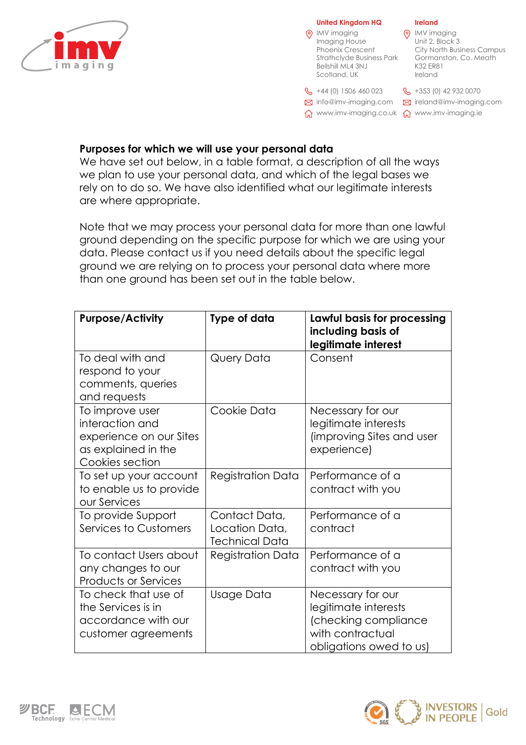

### **Ireland Q** IMV imaging Unit 2, Block 3 City North Business Campus Gormanston, Co. Meath K32 ER81 Ireland  $\%$  +353 (0) 42 932 0070 ireland@imv-imaging.com info@imv-imaging.com www.imv-imaging.ie www.imv-imaging.co.uk **United Kingdom HQ (6)** IMV imaging Imaging House Phoenix Crescent Strathclyde Business Park Bellshill ML4 3NJ Scotland, UK  $\frac{6}{5}$  +44 (0) 1506 460 023

## **Purposes for which we will use your personal data**

We have set out below, in a table format, a description of all the ways we plan to use your personal data, and which of the legal bases we rely on to do so. We have also identified what our legitimate interests are where appropriate.

Note that we may process your personal data for more than one lawful ground depending on the specific purpose for which we are using your data. Please contact us if you need details about the specific legal ground we are relying on to process your personal data where more than one ground has been set out in the table below.

| <b>Purpose/Activity</b>                                                                                 | Type of data                                             | Lawful basis for processing<br>including basis of<br>legitimate interest                                         |
|---------------------------------------------------------------------------------------------------------|----------------------------------------------------------|------------------------------------------------------------------------------------------------------------------|
| To deal with and<br>respond to your<br>comments, queries<br>and requests                                | Query Data                                               | Consent                                                                                                          |
| To improve user<br>interaction and<br>experience on our Sites<br>as explained in the<br>Cookies section | Cookie Data                                              | Necessary for our<br>legitimate interests<br>(improving Sites and user<br>experience)                            |
| To set up your account<br>to enable us to provide<br>our Services                                       | <b>Registration Data</b>                                 | Performance of a<br>contract with you                                                                            |
| To provide Support<br>Services to Customers                                                             | Contact Data,<br>Location Data,<br><b>Technical Data</b> | Performance of a<br>contract                                                                                     |
| To contact Users about<br>any changes to our<br><b>Products or Services</b>                             | <b>Registration Data</b>                                 | Performance of a<br>contract with you                                                                            |
| To check that use of<br>the Services is in<br>accordance with our<br>customer agreements                | Usage Data                                               | Necessary for our<br>legitimate interests<br>(checking compliance<br>with contractual<br>obligations owed to us) |



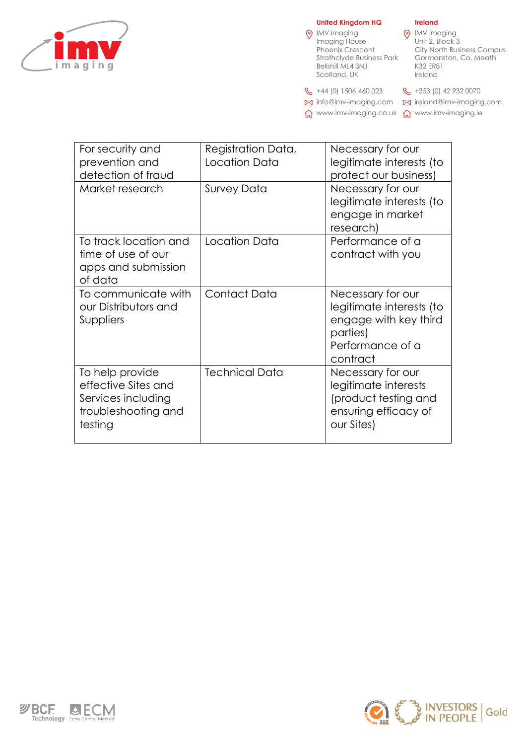

### **United Kingdom HQ**

| <b>United Kingdom HQ</b> |                                                                                                                                         | <b>Ireland</b>                                                                                   |
|--------------------------|-----------------------------------------------------------------------------------------------------------------------------------------|--------------------------------------------------------------------------------------------------|
|                          | IMV imaging<br>Imaging House<br><b>Phoenix Crescent</b><br><b>Strathclyde Business Park</b><br><b>Bellshill ML4 3NJ</b><br>Scotland, UK | IMV imaging<br>Unit 2, Block 3<br>City North Busi<br>Gormanston, 0<br><b>K32 ER81</b><br>Ireland |
|                          | $\frac{1}{2}$ +44 (0) 1506 460 023                                                                                                      | $\frac{1}{2}$ +353 (0) 42 932                                                                    |

+353 (0) 42 932 0070

City North Business Campus Gormanston, Co. Meath

ireland@imv-imaging.com info@imv-imaging.com

www.imv-imaging.ie www.imv-imaging.co.uk

| For security and<br>prevention and<br>detection of fraud                                       | Registration Data,<br>Location Data | Necessary for our<br>legitimate interests (to<br>protect our business)                                             |
|------------------------------------------------------------------------------------------------|-------------------------------------|--------------------------------------------------------------------------------------------------------------------|
| Market research                                                                                | <b>Survey Data</b>                  | Necessary for our<br>legitimate interests (to<br>engage in market<br>research)                                     |
| To track location and<br>time of use of our<br>apps and submission<br>of data                  | Location Data                       | Performance of a<br>contract with you                                                                              |
| To communicate with<br>our Distributors and<br>Suppliers                                       | Contact Data                        | Necessary for our<br>legitimate interests (to<br>engage with key third<br>parties)<br>Performance of a<br>contract |
| To help provide<br>effective Sites and<br>Services including<br>troubleshooting and<br>testing | <b>Technical Data</b>               | Necessary for our<br>legitimate interests<br>(product testing and<br>ensuring efficacy of<br>our Sites)            |



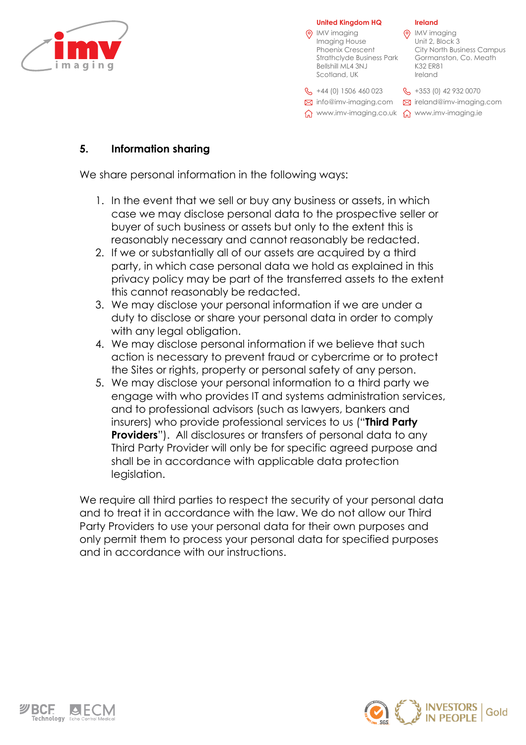

| <b>United Kingdom HQ</b>                                                                                                         | <b>Ireland</b>                                                                                                      |
|----------------------------------------------------------------------------------------------------------------------------------|---------------------------------------------------------------------------------------------------------------------|
| IMV imaging<br>Imaging House<br><b>Phoenix Crescent</b><br><b>Strathclyde Business Park</b><br>Bellshill ML4 3NJ<br>Scotland, UK | IMV imaging<br>Unit 2, Block 3<br><b>City North Business Campus</b><br>Gormanston, Co. Meath<br>K32 ER81<br>Ireland |
| $\frac{1}{2}$ +44 (0) 1506 460 023                                                                                               | $\frac{1}{2}$ +353 (0) 42 932 0070                                                                                  |
| $\boxtimes$ info@imv-imaging.com                                                                                                 | $\boxtimes$ ireland@imv-imaging.com                                                                                 |
| www.imv-imaging.co.uk                                                                                                            | www.imv-imaging.ie                                                                                                  |

# **5. Information sharing**

We share personal information in the following ways:

- 1. In the event that we sell or buy any business or assets, in which case we may disclose personal data to the prospective seller or buyer of such business or assets but only to the extent this is reasonably necessary and cannot reasonably be redacted.
- 2. If we or substantially all of our assets are acquired by a third party, in which case personal data we hold as explained in this privacy policy may be part of the transferred assets to the extent this cannot reasonably be redacted.
- 3. We may disclose your personal information if we are under a duty to disclose or share your personal data in order to comply with any legal obligation.
- 4. We may disclose personal information if we believe that such action is necessary to prevent fraud or cybercrime or to protect the Sites or rights, property or personal safety of any person.
- 5. We may disclose your personal information to a third party we engage with who provides IT and systems administration services, and to professional advisors (such as lawyers, bankers and insurers) who provide professional services to us ("**Third Party Providers**"). All disclosures or transfers of personal data to any Third Party Provider will only be for specific agreed purpose and shall be in accordance with applicable data protection legislation.

We require all third parties to respect the security of your personal data and to treat it in accordance with the law. We do not allow our Third Party Providers to use your personal data for their own purposes and only permit them to process your personal data for specified purposes and in accordance with our instructions.



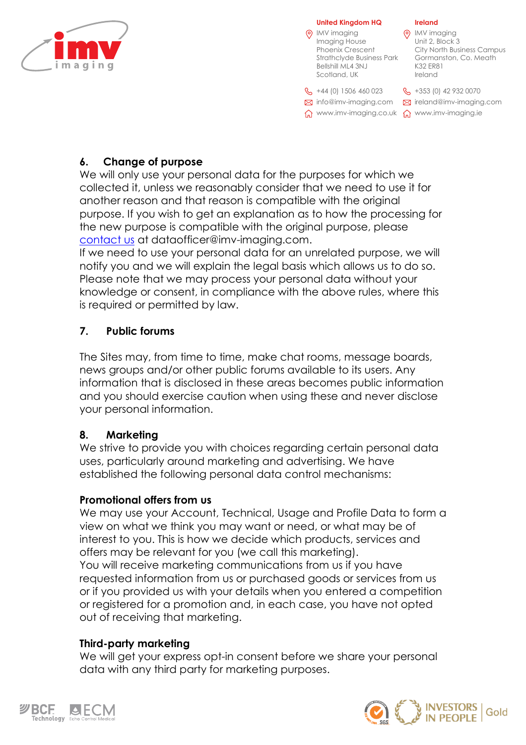



# **6. Change of purpose**

We will only use your personal data for the purposes for which we collected it, unless we reasonably consider that we need to use it for another reason and that reason is compatible with the original purpose. If you wish to get an explanation as to how the processing for the new purpose is compatible with the original purpose, please contact us at dataofficer@imv-imaging.com.

If we need to use your personal data for an unrelated purpose, we will notify you and we will explain the legal basis which allows us to do so. Please note that we may process your personal data without your knowledge or consent, in compliance with the above rules, where this is required or permitted by law.

# **7. Public forums**

The Sites may, from time to time, make chat rooms, message boards, news groups and/or other public forums available to its users. Any information that is disclosed in these areas becomes public information and you should exercise caution when using these and never disclose your personal information.

# **8. Marketing**

We strive to provide you with choices regarding certain personal data uses, particularly around marketing and advertising. We have established the following personal data control mechanisms:

## **Promotional offers from us**

We may use your Account, Technical, Usage and Profile Data to form a view on what we think you may want or need, or what may be of interest to you. This is how we decide which products, services and offers may be relevant for you (we call this marketing). You will receive marketing communications from us if you have requested information from us or purchased goods or services from us or if you provided us with your details when you entered a competition or registered for a promotion and, in each case, you have not opted out of receiving that marketing.

## **Third-party marketing**

We will get your express opt-in consent before we share your personal data with any third party for marketing purposes.



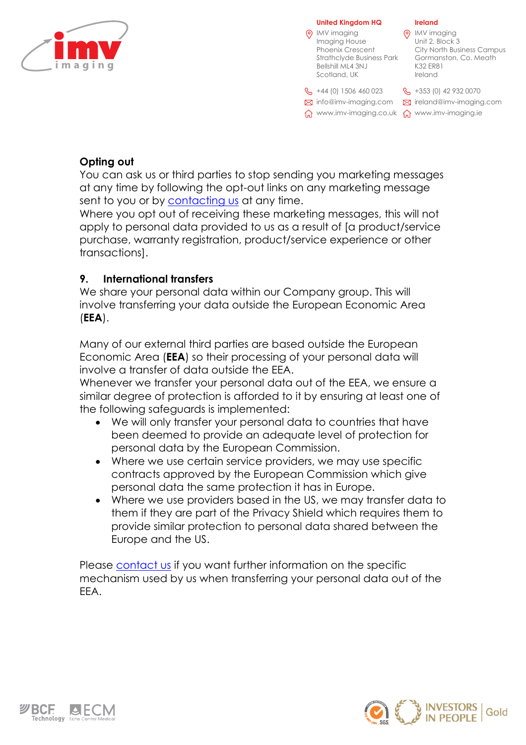

**Ireland (o)** IMV imaging Unit 2, Block 3 City North Business Campus Gormanston, Co. Meath K32 ER81 Ireland  $\%$  +353 (0) 42 932 0070 ireland@imv-imaging.com info@imv-imaging.com www.imv-imaging.ie www.imv-imaging.co.uk **United Kingdom HQ (6)** IMV imaging Imaging House Phoenix Crescent Strathclyde Business Park Bellshill ML4 3NJ Scotland, UK  $\frac{6}{5}$  +44 (0) 1506 460 023

# **Opting out**

You can ask us or third parties to stop sending you marketing messages at any time by following the opt-out links on any marketing message sent to you or by **contacting us** at any time.

Where you opt out of receiving these marketing messages, this will not apply to personal data provided to us as a result of [a product/service purchase, warranty registration, product/service experience or other transactions].

## **9. International transfers**

We share your personal data within our Company group. This will involve transferring your data outside the European Economic Area (**EEA**).

Many of our external third parties are based outside the European Economic Area (**EEA**) so their processing of your personal data will involve a transfer of data outside the EEA.

Whenever we transfer your personal data out of the EEA, we ensure a similar degree of protection is afforded to it by ensuring at least one of the following safeguards is implemented:

- We will only transfer your personal data to countries that have been deemed to provide an adequate level of protection for personal data by the European Commission.
- Where we use certain service providers, we may use specific contracts approved by the European Commission which give personal data the same protection it has in Europe.
- Where we use providers based in the US, we may transfer data to them if they are part of the Privacy Shield which requires them to provide similar protection to personal data shared between the Europe and the US.

Please contact us if you want further information on the specific mechanism used by us when transferring your personal data out of the EEA.



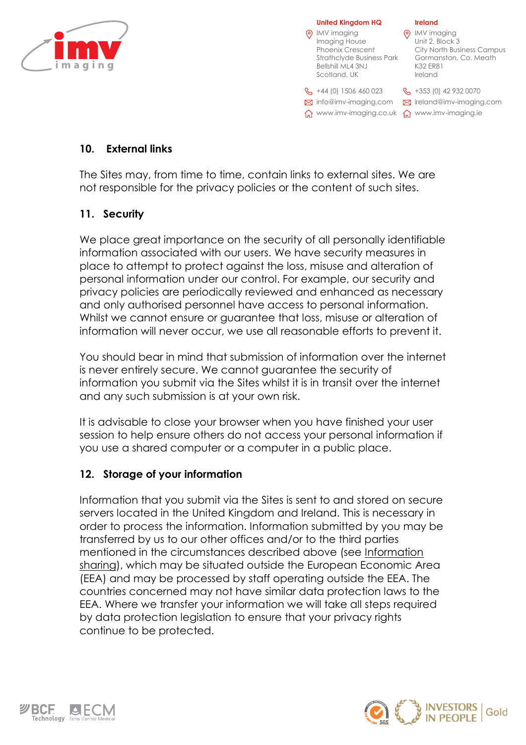

| (၀) | <b>United Kingdom HQ</b><br>IMV imaging<br>Imaging House<br><b>Phoenix Crescent</b><br><b>Strathclyde Business Park</b><br><b>Bellshill ML4 3NJ</b><br>Scotland, UK | <b>Ireland</b><br><b>IMV</b> imaging<br>Unit 2, Block 3<br>City North Business Campus<br>Gormanston, Co. Meath<br>K32 ER81<br>Ireland |
|-----|---------------------------------------------------------------------------------------------------------------------------------------------------------------------|---------------------------------------------------------------------------------------------------------------------------------------|
|     | $\frac{1}{2}$ +44 (0) 1506 460 023<br>M info@imv-imaging.com<br>www.imv-imaging.co.uk                                                                               | $\%$ +353 (0) 42 932 0070<br>$\boxtimes$ ireland@imv-imaging.com<br>www.imv-imaging.ie                                                |

# **10. External links**

The Sites may, from time to time, contain links to external sites. We are not responsible for the privacy policies or the content of such sites.

## **11. Security**

We place great importance on the security of all personally identifiable information associated with our users. We have security measures in place to attempt to protect against the loss, misuse and alteration of personal information under our control. For example, our security and privacy policies are periodically reviewed and enhanced as necessary and only authorised personnel have access to personal information. Whilst we cannot ensure or guarantee that loss, misuse or alteration of information will never occur, we use all reasonable efforts to prevent it.

You should bear in mind that submission of information over the internet is never entirely secure. We cannot guarantee the security of information you submit via the Sites whilst it is in transit over the internet and any such submission is at your own risk.

It is advisable to close your browser when you have finished your user session to help ensure others do not access your personal information if you use a shared computer or a computer in a public place.

## **12. Storage of your information**

Information that you submit via the Sites is sent to and stored on secure servers located in the United Kingdom and Ireland. This is necessary in order to process the information. Information submitted by you may be transferred by us to our other offices and/or to the third parties mentioned in the circumstances described above (see Information sharing), which may be situated outside the European Economic Area (EEA) and may be processed by staff operating outside the EEA. The countries concerned may not have similar data protection laws to the EEA. Where we transfer your information we will take all steps required by data protection legislation to ensure that your privacy rights continue to be protected.



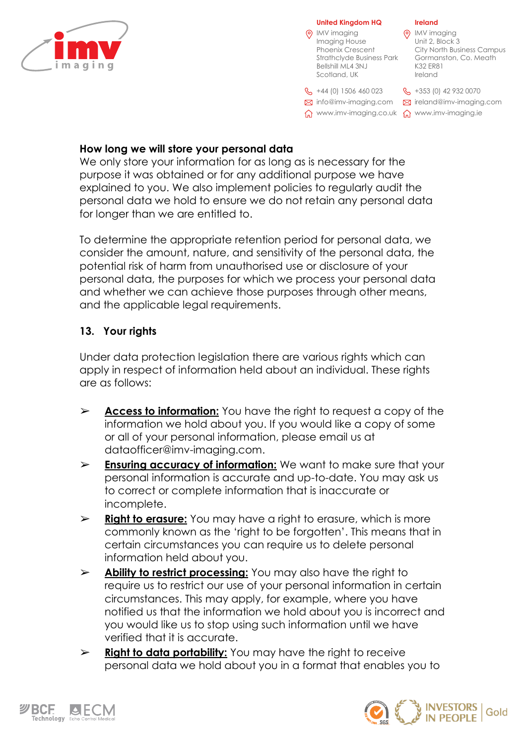

### **Ireland Q** IMV imaging Unit 2, Block 3 City North Business Campus Gormanston, Co. Meath K32 ER81 Ireland  $\%$  +353 (0) 42 932 0070 ireland@imv-imaging.com info@imv-imaging.com www.imv-imaging.ie www.imv-imaging.co.uk **United Kingdom HQ (6)** IMV imaging Imaging House Phoenix Crescent Strathclyde Business Park Bellshill ML4 3NJ Scotland, UK  $\frac{6}{5}$  +44 (0) 1506 460 023

# **How long we will store your personal data**

We only store your information for as long as is necessary for the purpose it was obtained or for any additional purpose we have explained to you. We also implement policies to regularly audit the personal data we hold to ensure we do not retain any personal data for longer than we are entitled to.

To determine the appropriate retention period for personal data, we consider the amount, nature, and sensitivity of the personal data, the potential risk of harm from unauthorised use or disclosure of your personal data, the purposes for which we process your personal data and whether we can achieve those purposes through other means, and the applicable legal requirements.

# **13. Your rights**

Under data protection legislation there are various rights which can apply in respect of information held about an individual. These rights are as follows:

- ➢ **Access to information:** You have the right to request a copy of the information we hold about you. If you would like a copy of some or all of your personal information, please email us at dataofficer@imv-imaging.com.
- ➢ **Ensuring accuracy of information:** We want to make sure that your personal information is accurate and up-to-date. You may ask us to correct or complete information that is inaccurate or incomplete.
- ➢ **Right to erasure:** You may have a right to erasure, which is more commonly known as the 'right to be forgotten'. This means that in certain circumstances you can require us to delete personal information held about you.
- ➢ **Ability to restrict processing:** You may also have the right to require us to restrict our use of your personal information in certain circumstances. This may apply, for example, where you have notified us that the information we hold about you is incorrect and you would like us to stop using such information until we have verified that it is accurate.
- ➢ **Right to data portability:** You may have the right to receive personal data we hold about you in a format that enables you to